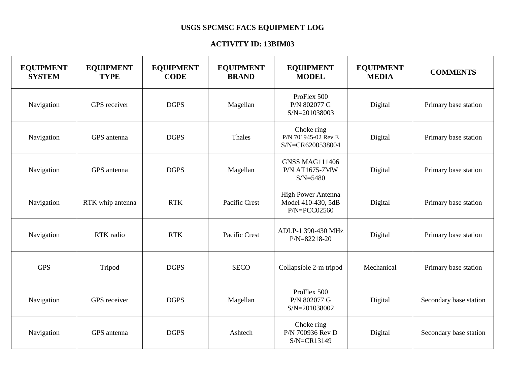## **USGS SPCMSC FACS EQUIPMENT LOG**

## **ACTIVITY ID: 13BIM03**

| <b>EQUIPMENT</b><br><b>SYSTEM</b> | <b>EQUIPMENT</b><br><b>TYPE</b> | <b>EQUIPMENT</b><br><b>CODE</b> | <b>EQUIPMENT</b><br><b>BRAND</b> | <b>EQUIPMENT</b><br><b>MODEL</b>                                    | <b>EQUIPMENT</b><br><b>MEDIA</b> | <b>COMMENTS</b>        |
|-----------------------------------|---------------------------------|---------------------------------|----------------------------------|---------------------------------------------------------------------|----------------------------------|------------------------|
| Navigation                        | GPS receiver                    | <b>DGPS</b>                     | Magellan                         | ProFlex 500<br>P/N 802077 G<br>S/N=201038003                        | Digital                          | Primary base station   |
| Navigation                        | GPS antenna                     | <b>DGPS</b>                     | Thales                           | Choke ring<br>P/N 701945-02 Rev E<br>S/N=CR6200538004               | Digital                          | Primary base station   |
| Navigation                        | GPS antenna                     | <b>DGPS</b>                     | Magellan                         | <b>GNSS MAG111406</b><br><b>P/N AT1675-7MW</b><br>$S/N = 5480$      | Digital                          | Primary base station   |
| Navigation                        | RTK whip antenna                | <b>RTK</b>                      | Pacific Crest                    | <b>High Power Antenna</b><br>Model 410-430, 5dB<br>$P/N = PCCO2560$ | Digital                          | Primary base station   |
| Navigation                        | RTK radio                       | <b>RTK</b>                      | Pacific Crest                    | ADLP-1 390-430 MHz<br>$P/N = 82218 - 20$                            | Digital                          | Primary base station   |
| <b>GPS</b>                        | Tripod                          | <b>DGPS</b>                     | <b>SECO</b>                      | Collapsible 2-m tripod                                              | Mechanical                       | Primary base station   |
| Navigation                        | GPS receiver                    | <b>DGPS</b>                     | Magellan                         | ProFlex 500<br>P/N 802077 G<br>S/N=201038002                        | Digital                          | Secondary base station |
| Navigation                        | GPS antenna                     | <b>DGPS</b>                     | Ashtech                          | Choke ring<br>P/N 700936 Rev D<br>$S/N = CR13149$                   | Digital                          | Secondary base station |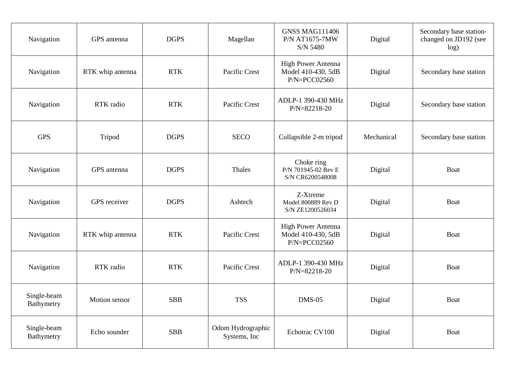| Navigation                | GPS antenna      | <b>DGPS</b> | Magellan                           | <b>GNSS MAG111406</b><br>P/N AT1675-7MW<br>S/N 5480          | Digital    | Secondary base station-<br>changed on JD192 (see<br>log) |
|---------------------------|------------------|-------------|------------------------------------|--------------------------------------------------------------|------------|----------------------------------------------------------|
| Navigation                | RTK whip antenna | <b>RTK</b>  | Pacific Crest                      | High Power Antenna<br>Model 410-430, 5dB<br>$P/N = PCCO2560$ | Digital    | Secondary base station                                   |
| Navigation                | RTK radio        | <b>RTK</b>  | Pacific Crest                      | ADLP-1 390-430 MHz<br>P/N=82218-20                           | Digital    | Secondary base station                                   |
| <b>GPS</b>                | Tripod           | <b>DGPS</b> | <b>SECO</b>                        | Collapsible 2-m tripod                                       | Mechanical | Secondary base station                                   |
| Navigation                | GPS antenna      | <b>DGPS</b> | Thales                             | Choke ring<br>P/N 701945-02 Rev E<br>S/N CR6200548008        | Digital    | <b>Boat</b>                                              |
| Navigation                | GPS receiver     | <b>DGPS</b> | Ashtech                            | Z-Xtreme<br>Model 800889 Rev D<br>S/N ZE1200526034           | Digital    | Boat                                                     |
| Navigation                | RTK whip antenna | <b>RTK</b>  | Pacific Crest                      | High Power Antenna<br>Model 410-430, 5dB<br>$P/N = PCCO2560$ | Digital    | Boat                                                     |
| Navigation                | RTK radio        | <b>RTK</b>  | Pacific Crest                      | ADLP-1 390-430 MHz<br>$P/N = 82218 - 20$                     | Digital    | <b>Boat</b>                                              |
| Single-beam<br>Bathymetry | Motion sensor    | <b>SBB</b>  | <b>TSS</b>                         | <b>DMS-05</b>                                                | Digital    | Boat                                                     |
| Single-beam<br>Bathymetry | Echo sounder     | <b>SBB</b>  | Odom Hydrographic<br>Systems, Inc. | Echotrac CV100                                               | Digital    | <b>Boat</b>                                              |